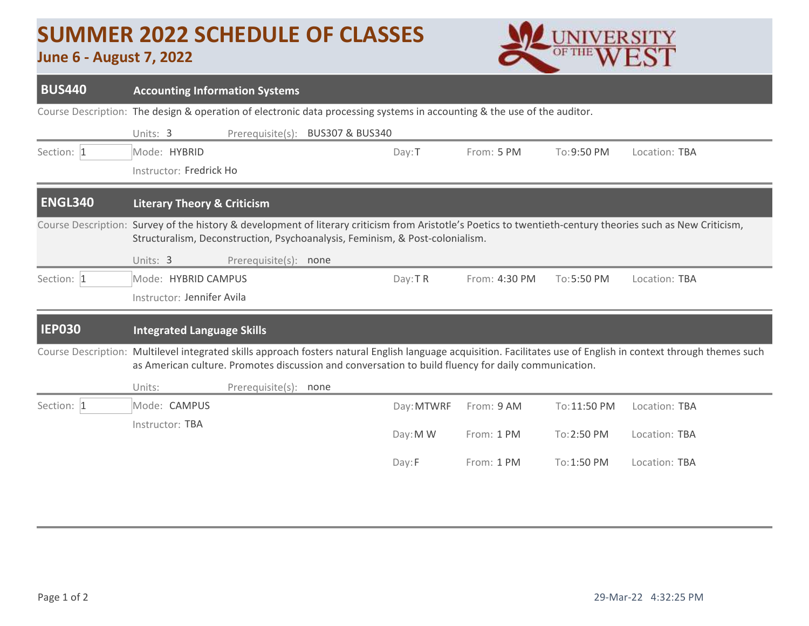## **SUMMER 2022 SCHEDULE OF CLASSES**

## **June 6 - August 7, 2022**



| <b>BUS440</b>              | <b>Accounting Information Systems</b>                                                                                                                                                                                                                |                       |  |            |               |              |               |  |  |  |  |
|----------------------------|------------------------------------------------------------------------------------------------------------------------------------------------------------------------------------------------------------------------------------------------------|-----------------------|--|------------|---------------|--------------|---------------|--|--|--|--|
|                            | Course Description: The design & operation of electronic data processing systems in accounting & the use of the auditor.                                                                                                                             |                       |  |            |               |              |               |  |  |  |  |
|                            | Prerequisite(s):<br><b>BUS307 &amp; BUS340</b><br>Units: 3                                                                                                                                                                                           |                       |  |            |               |              |               |  |  |  |  |
| Section: 1                 | Mode: HYBRID                                                                                                                                                                                                                                         |                       |  | Day: T     | From: 5 PM    | To: 9:50 PM  | Location: TBA |  |  |  |  |
|                            | Instructor: Fredrick Ho                                                                                                                                                                                                                              |                       |  |            |               |              |               |  |  |  |  |
| <b>ENGL340</b>             | <b>Literary Theory &amp; Criticism</b>                                                                                                                                                                                                               |                       |  |            |               |              |               |  |  |  |  |
|                            | Course Description: Survey of the history & development of literary criticism from Aristotle's Poetics to twentieth-century theories such as New Criticism,<br>Structuralism, Deconstruction, Psychoanalysis, Feminism, & Post-colonialism.          |                       |  |            |               |              |               |  |  |  |  |
|                            | Units: 3<br>Prerequisite(s): none                                                                                                                                                                                                                    |                       |  |            |               |              |               |  |  |  |  |
| Section: 1                 | Mode: HYBRID CAMPUS                                                                                                                                                                                                                                  |                       |  | Day: TR    | From: 4:30 PM | To: 5:50 PM  | Location: TBA |  |  |  |  |
|                            | Instructor: Jennifer Avila                                                                                                                                                                                                                           |                       |  |            |               |              |               |  |  |  |  |
| <b>IEP030</b>              | <b>Integrated Language Skills</b>                                                                                                                                                                                                                    |                       |  |            |               |              |               |  |  |  |  |
| <b>Course Description:</b> | Multilevel integrated skills approach fosters natural English language acquisition. Facilitates use of English in context through themes such<br>as American culture. Promotes discussion and conversation to build fluency for daily communication. |                       |  |            |               |              |               |  |  |  |  |
|                            | Units:                                                                                                                                                                                                                                               | Prerequisite(s): none |  |            |               |              |               |  |  |  |  |
| Section: 1                 | Mode: CAMPUS                                                                                                                                                                                                                                         |                       |  | Day: MTWRF | From: 9 AM    | To: 11:50 PM | Location: TBA |  |  |  |  |
|                            | Instructor: TBA                                                                                                                                                                                                                                      |                       |  | Day: M W   | From: 1 PM    | To: 2:50 PM  | Location: TBA |  |  |  |  |
|                            |                                                                                                                                                                                                                                                      |                       |  | Day:F      | From: 1 PM    | To:1:50 PM   | Location: TBA |  |  |  |  |
|                            |                                                                                                                                                                                                                                                      |                       |  |            |               |              |               |  |  |  |  |
|                            |                                                                                                                                                                                                                                                      |                       |  |            |               |              |               |  |  |  |  |